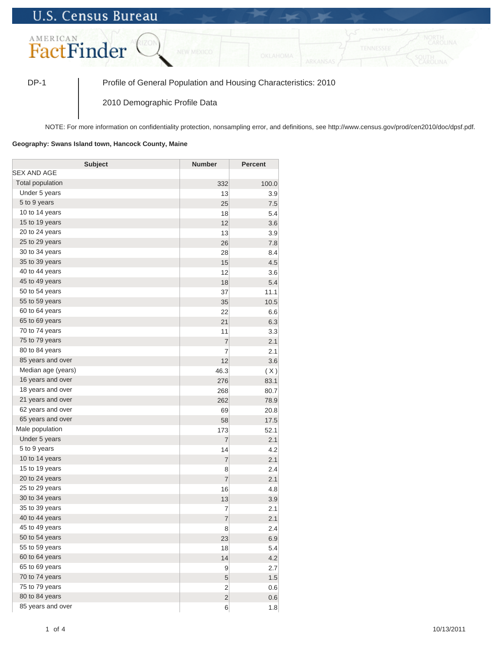## **U.S. Census Bureau**



DP-1 Profile of General Population and Housing Characteristics: 2010

2010 Demographic Profile Data

NOTE: For more information on confidentiality protection, nonsampling error, and definitions, see http://www.census.gov/prod/cen2010/doc/dpsf.pdf.

## **Geography: Swans Island town, Hancock County, Maine**

| <b>Subject</b>     | <b>Number</b>  | Percent |
|--------------------|----------------|---------|
| <b>SEX AND AGE</b> |                |         |
| Total population   | 332            | 100.0   |
| Under 5 years      | 13             | 3.9     |
| 5 to 9 years       | 25             | 7.5     |
| 10 to 14 years     | 18             | 5.4     |
| 15 to 19 years     | 12             | 3.6     |
| 20 to 24 years     | 13             | 3.9     |
| 25 to 29 years     | 26             | 7.8     |
| 30 to 34 years     | 28             | 8.4     |
| 35 to 39 years     | 15             | 4.5     |
| 40 to 44 years     | 12             | 3.6     |
| 45 to 49 years     | 18             | 5.4     |
| 50 to 54 years     | 37             | 11.1    |
| 55 to 59 years     | 35             | 10.5    |
| 60 to 64 years     | 22             | 6.6     |
| 65 to 69 years     | 21             | 6.3     |
| 70 to 74 years     | 11             | 3.3     |
| 75 to 79 years     | $\overline{7}$ | 2.1     |
| 80 to 84 years     | $\overline{7}$ | 2.1     |
| 85 years and over  | 12             | 3.6     |
| Median age (years) | 46.3           | (X)     |
| 16 years and over  | 276            | 83.1    |
| 18 years and over  | 268            | 80.7    |
| 21 years and over  | 262            | 78.9    |
| 62 years and over  | 69             | 20.8    |
| 65 years and over  | 58             | 17.5    |
| Male population    | 173            | 52.1    |
| Under 5 years      | $\overline{7}$ | 2.1     |
| 5 to 9 years       | 14             | 4.2     |
| 10 to 14 years     | $\overline{7}$ | 2.1     |
| 15 to 19 years     | 8              | 2.4     |
| 20 to 24 years     | $\overline{7}$ | 2.1     |
| 25 to 29 years     | 16             | 4.8     |
| 30 to 34 years     | 13             | 3.9     |
| 35 to 39 years     | 7              | 2.1     |
| 40 to 44 years     | $\overline{7}$ | 2.1     |
| 45 to 49 years     | 8              | 2.4     |
| 50 to 54 years     | 23             | 6.9     |
| 55 to 59 years     | 18             | 5.4     |
| 60 to 64 years     | 14             | 4.2     |
| 65 to 69 years     | 9              | 2.7     |
| 70 to 74 years     | 5              | 1.5     |
| 75 to 79 years     | $\overline{2}$ | 0.6     |
| 80 to 84 years     | $\overline{2}$ | 0.6     |
| 85 years and over  | 6              | 1.8     |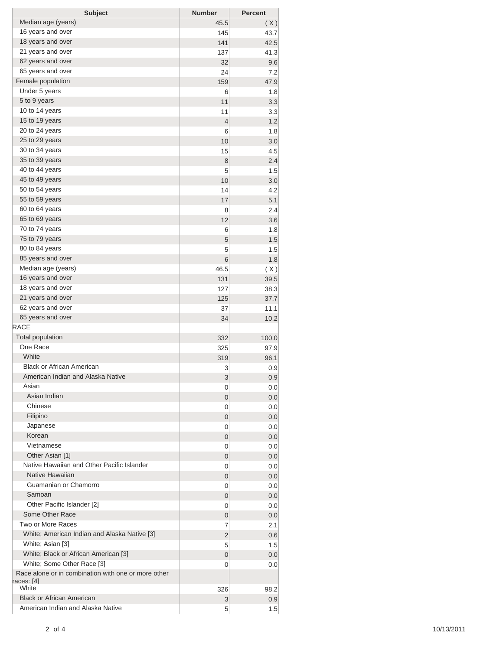| <b>Subject</b>                                                             | <b>Number</b> | <b>Percent</b> |
|----------------------------------------------------------------------------|---------------|----------------|
| Median age (years)                                                         | 45.5          | (X)            |
| 16 years and over                                                          | 145           | 43.7           |
| 18 years and over                                                          | 141           | 42.5           |
| 21 years and over                                                          | 137           | 41.3           |
| 62 years and over                                                          | 32            | 9.6            |
| 65 years and over                                                          | 24            | 7.2            |
| Female population                                                          | 159           | 47.9           |
| Under 5 years                                                              | 6             | 1.8            |
| 5 to 9 years                                                               | 11            | 3.3            |
| 10 to 14 years                                                             | 11            | 3.3            |
| 15 to 19 years                                                             | 4             | 1.2            |
| 20 to 24 years                                                             | 6             | 1.8            |
| 25 to 29 years                                                             | 10            | 3.0            |
| 30 to 34 years                                                             | 15            | 4.5            |
| 35 to 39 years                                                             | 8             | 2.4            |
| 40 to 44 years                                                             | 5             | 1.5            |
| 45 to 49 years                                                             | 10            | 3.0            |
| 50 to 54 years                                                             | 14            | 4.2            |
| 55 to 59 years<br>60 to 64 years                                           | 17            | 5.1            |
| 65 to 69 years                                                             | 8             | 2.4            |
| 70 to 74 years                                                             | 12            | 3.6            |
| 75 to 79 years                                                             | 6             | 1.8            |
| 80 to 84 years                                                             | 5             | 1.5            |
| 85 years and over                                                          | 5             | 1.5            |
| Median age (years)                                                         | 6<br>46.5     | 1.8            |
| 16 years and over                                                          | 131           | (X)<br>39.5    |
| 18 years and over                                                          | 127           | 38.3           |
| 21 years and over                                                          | 125           | 37.7           |
| 62 years and over                                                          | 37            | 11.1           |
| 65 years and over                                                          | 34            | 10.2           |
| <b>RACE</b>                                                                |               |                |
| <b>Total population</b>                                                    | 332           | 100.0          |
| One Race                                                                   | 325           | 97.9           |
| White                                                                      | 319           | 96.1           |
| <b>Black or African American</b>                                           | 3             | 0.9            |
| American Indian and Alaska Native                                          | 3             | 0.9            |
| Asian                                                                      | 0             | 0.0            |
| Asian Indian                                                               | 0             | 0.0            |
| Chinese                                                                    | 0             | 0.0            |
| Filipino                                                                   | 0             | 0.0            |
| Japanese                                                                   | 0             | 0.0            |
| Korean                                                                     | 0             | 0.0            |
| Vietnamese                                                                 | 0             | 0.0            |
| Other Asian [1]                                                            | 0             | 0.0            |
| Native Hawaiian and Other Pacific Islander                                 | 0             | 0.0            |
| Native Hawaiian                                                            | 0             | 0.0            |
| Guamanian or Chamorro                                                      | 0             | 0.0            |
| Samoan                                                                     | 0             | 0.0            |
| Other Pacific Islander [2]                                                 | 0             | 0.0            |
| Some Other Race                                                            | 0             | 0.0            |
| Two or More Races                                                          | 7             | 2.1            |
| White; American Indian and Alaska Native [3]                               | 2             | 0.6            |
| White; Asian [3]                                                           | 5             | 1.5            |
| White; Black or African American [3]                                       | 0             | 0.0            |
| White; Some Other Race [3]                                                 | 0             | 0.0            |
| Race alone or in combination with one or more other<br>races: [4]<br>White | 326           | 98.2           |
| <b>Black or African American</b>                                           | 3             | 0.9            |
| American Indian and Alaska Native                                          | 5             | 1.5            |
|                                                                            |               |                |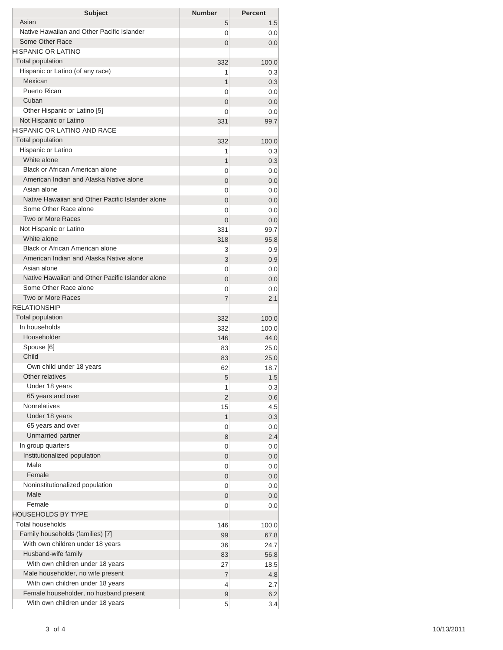| <b>Subject</b>                                   | <b>Number</b>  | <b>Percent</b> |
|--------------------------------------------------|----------------|----------------|
| Asian                                            | 5              | 1.5            |
| Native Hawaiian and Other Pacific Islander       | 0              | 0.0            |
| Some Other Race                                  | 0              | 0.0            |
| HISPANIC OR LATINO                               |                |                |
| <b>Total population</b>                          | 332            | 100.0          |
| Hispanic or Latino (of any race)                 | 1              | 0.3            |
| Mexican                                          | 1              | 0.3            |
| <b>Puerto Rican</b>                              | 0              | 0.0            |
| Cuban                                            | 0              | 0.0            |
| Other Hispanic or Latino [5]                     | 0              | 0.0            |
| Not Hispanic or Latino                           | 331            | 99.7           |
| HISPANIC OR LATINO AND RACE                      |                |                |
| <b>Total population</b>                          | 332            | 100.0          |
| Hispanic or Latino                               | 1              | 0.3            |
| White alone                                      | 1              | 0.3            |
| Black or African American alone                  | 0              | 0.0            |
| American Indian and Alaska Native alone          | 0              | 0.0            |
| Asian alone                                      | 0              | 0.0            |
| Native Hawaiian and Other Pacific Islander alone | 0              | 0.0            |
| Some Other Race alone<br>Two or More Races       | 0              | 0.0            |
| Not Hispanic or Latino                           | $\overline{0}$ | 0.0            |
| White alone                                      | 331            | 99.7           |
| <b>Black or African American alone</b>           | 318            | 95.8           |
| American Indian and Alaska Native alone          | 3              | 0.9            |
| Asian alone                                      | 3              | 0.9            |
| Native Hawaiian and Other Pacific Islander alone | 0              | 0.0            |
| Some Other Race alone                            | 0<br>0         | 0.0<br>0.0     |
| <b>Two or More Races</b>                         | 7              | 2.1            |
| <b>RELATIONSHIP</b>                              |                |                |
| Total population                                 | 332            | 100.0          |
| In households                                    | 332            | 100.0          |
| Householder                                      | 146            | 44.0           |
| Spouse [6]                                       | 83             | 25.0           |
| Child                                            | 83             | 25.0           |
| Own child under 18 years                         | 62             | 18.7           |
| Other relatives                                  | 5              | 1.5            |
| Under 18 years                                   | 1              | 0.3            |
| 65 years and over                                | 2              | 0.6            |
| <b>Nonrelatives</b>                              | 15             | 4.5            |
| Under 18 years                                   | 1              | 0.3            |
| 65 years and over                                | 0              | 0.0            |
| Unmarried partner                                | 8              | 2.4            |
| In group quarters                                | 0              | 0.0            |
| Institutionalized population                     | 0              | 0.0            |
| Male                                             | 0              | 0.0            |
| Female                                           | 0              | 0.0            |
| Noninstitutionalized population                  | 0              | 0.0            |
| Male                                             | 0              | 0.0            |
| Female                                           | 0              | 0.0            |
| HOUSEHOLDS BY TYPE                               |                |                |
| <b>Total households</b>                          | 146            | 100.0          |
| Family households (families) [7]                 | 99             | 67.8           |
| With own children under 18 years                 | 36             | 24.7           |
| Husband-wife family                              | 83             | 56.8           |
| With own children under 18 years                 | 27             | 18.5           |
| Male householder, no wife present                | 7              | 4.8            |
| With own children under 18 years                 | 4              | 2.7            |
| Female householder, no husband present           | 9              | 6.2            |
| With own children under 18 years                 | 5              | 3.4            |